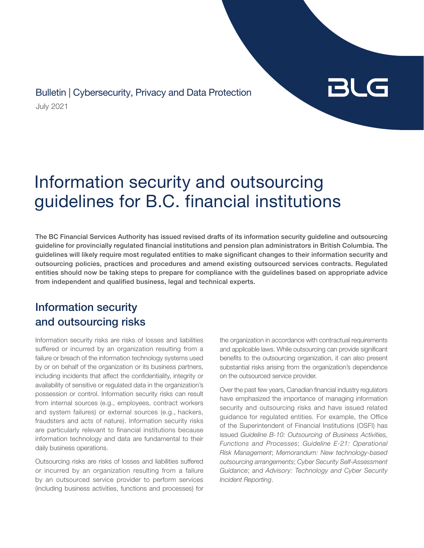July 2021 Bulletin | Cybersecurity, Privacy and Data Protection

# BLG

# Information security and outsourcing guidelines for B.C. financial institutions

The BC Financial Services Authority has issued revised drafts of its information security guideline and outsourcing guideline for provincially regulated financial institutions and pension plan administrators in British Columbia. The guidelines will likely require most regulated entities to make significant changes to their information security and outsourcing policies, practices and procedures and amend existing outsourced services contracts. Regulated entities should now be taking steps to prepare for compliance with the guidelines based on appropriate advice from independent and qualified business, legal and technical experts.

# Information security and outsourcing risks

Information security risks are risks of losses and liabilities suffered or incurred by an organization resulting from a failure or breach of the information technology systems used by or on behalf of the organization or its business partners, including incidents that affect the confidentiality, integrity or availability of sensitive or regulated data in the organization's possession or control. Information security risks can result from internal sources (e.g., employees, contract workers and system failures) or external sources (e.g., hackers, fraudsters and acts of nature). Information security risks are particularly relevant to financial institutions because information technology and data are fundamental to their daily business operations.

Outsourcing risks are risks of losses and liabilities suffered or incurred by an organization resulting from a failure by an outsourced service provider to perform services (including business activities, functions and processes) for

the organization in accordance with contractual requirements and applicable laws. While outsourcing can provide significant benefits to the outsourcing organization, it can also present substantial risks arising from the organization's dependence on the outsourced service provider.

Over the past few years, Canadian financial industry regulators have emphasized the importance of managing information security and outsourcing risks and have issued related guidance for regulated entities. For example, the Office of the Superintendent of Financial Institutions (OSFI) has issued *Guideline B-10: Outsourcing of Business Activities, Functions and Processes*; *Guideline E-21: Operational Risk Management*; *Memorandum: New technology-based outsourcing arrangements*; *Cyber Security Self-Assessment Guidance*; and *Advisory: Technology and Cyber Security Incident Reporting*.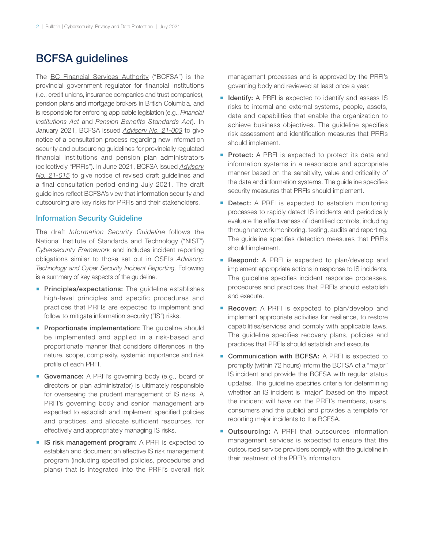### BCFSA guidelines

The [BC Financial Services Authority](http://www.bcfsa.ca) ("BCFSA") is the provincial government regulator for financial institutions (i.e., credit unions, insurance companies and trust companies), pension plans and mortgage brokers in British Columbia, and is responsible for enforcing applicable legislation (e.g., *Financial Institutions Act* and *Pension Benefits Standards Act*). In January 2021, BCFSA issued *[Advisory No. 21-003](https://www.bcfsa.ca/pdf/fid/advisory/all-21-003.pdf)* to give notice of a consultation process regarding new information security and outsourcing guidelines for provincially regulated financial institutions and pension plan administrators (collectively "PRFIs"). In June 2021, BCFSA issued *[Advisory](https://www.bcfsa.ca/pdf/Pensions/RegulatoryStatement/PENS21-015.pdf) [No. 21-015](https://www.bcfsa.ca/pdf/Pensions/RegulatoryStatement/PENS21-015.pdf)* to give notice of revised draft guidelines and a final consultation period ending July 2021. The draft guidelines reflect BCFSA's view that information security and outsourcing are key risks for PRFIs and their stakeholders.

#### Information Security Guideline

The draft *[Information Security Guideline](https://www.bcfsa.ca/pdf/fid/advisory/InformationSecurityGuideline20210617.pdf)* follows the National Institute of Standards and Technology ("NIST") *[Cybersecurity Framework](https://www.nist.gov/cyberframework)* and includes incident reporting obligations similar to those set out in OSFI's *[Advisory:](https://www.osfi-bsif.gc.ca/Eng/fi-if/rg-ro/gdn-ort/adv-prv/Pages/TCSIR.aspx) [Technology and Cyber Security Incident Reporting](https://www.osfi-bsif.gc.ca/Eng/fi-if/rg-ro/gdn-ort/adv-prv/Pages/TCSIR.aspx)*. Following is a summary of key aspects of the guideline.

- **Principles/expectations:** The guideline establishes high-level principles and specific procedures and practices that PRFIs are expected to implement and follow to mitigate information security ("IS") risks.
- **Proportionate implementation:** The guideline should be implemented and applied in a risk-based and proportionate manner that considers differences in the nature, scope, complexity, systemic importance and risk profile of each PRFI.
- **Governance:** A PRFI's governing body (e.g., board of directors or plan administrator) is ultimately responsible for overseeing the prudent management of IS risks. A PRFI's governing body and senior management are expected to establish and implement specified policies and practices, and allocate sufficient resources, for effectively and appropriately managing IS risks.
- **E** IS risk management program: A PRFI is expected to establish and document an effective IS risk management program (including specified policies, procedures and plans) that is integrated into the PRFI's overall risk

management processes and is approved by the PRFI's governing body and reviewed at least once a year.

- **I** Identify: A PRFI is expected to identify and assess IS risks to internal and external systems, people, assets, data and capabilities that enable the organization to achieve business objectives. The guideline specifies risk assessment and identification measures that PRFIs should implement.
- **Protect:** A PRFI is expected to protect its data and information systems in a reasonable and appropriate manner based on the sensitivity, value and criticality of the data and information systems. The guideline specifies security measures that PRFIs should implement.
- **Detect:** A PRFI is expected to establish monitoring processes to rapidly detect IS incidents and periodically evaluate the effectiveness of identified controls, including through network monitoring, testing, audits and reporting. The guideline specifies detection measures that PRFIs should implement.
- **Respond:** A PRFI is expected to plan/develop and implement appropriate actions in response to IS incidents. The guideline specifies incident response processes, procedures and practices that PRFIs should establish and execute.
- **Recover:** A PRFI is expected to plan/develop and implement appropriate activities for resilience, to restore capabilities/services and comply with applicable laws. The guideline specifies recovery plans, policies and practices that PRFIs should establish and execute.
- Communication with BCFSA: A PRFI is expected to promptly (within 72 hours) inform the BCFSA of a "major" IS incident and provide the BCFSA with regular status updates. The guideline specifies criteria for determining whether an IS incident is "major" (based on the impact the incident will have on the PRFI's members, users, consumers and the public) and provides a template for reporting major incidents to the BCFSA.
- **Dutsourcing:** A PRFI that outsources information management services is expected to ensure that the outsourced service providers comply with the guideline in their treatment of the PRFI's information.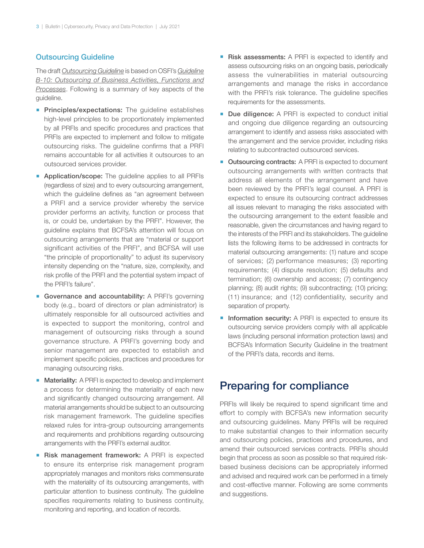#### Outsourcing Guideline

The draft *[Outsourcing Guideline](https://www.bcfsa.ca/pdf/fid/advisory/BCFSA-Outsourcing-Guideline-DRAFT-v7.pdf)* is based on OSFI's *[Guideline](https://www.osfi-bsif.gc.ca/Eng/Docs/b10.pdf) [B-10: Outsourcing of Business Activities, Functions and](https://www.osfi-bsif.gc.ca/Eng/Docs/b10.pdf) [Processes](https://www.osfi-bsif.gc.ca/Eng/Docs/b10.pdf)*. Following is a summary of key aspects of the guideline.

- **Principles/expectations:** The guideline establishes high-level principles to be proportionately implemented by all PRFIs and specific procedures and practices that PRFIs are expected to implement and follow to mitigate outsourcing risks. The guideline confirms that a PRFI remains accountable for all activities it outsources to an outsourced services provider.
- **Application/scope:** The guideline applies to all PRFIs (regardless of size) and to every outsourcing arrangement, which the guideline defines as "an agreement between a PRFI and a service provider whereby the service provider performs an activity, function or process that is, or could be, undertaken by the PRFI". However, the guideline explains that BCFSA's attention will focus on outsourcing arrangements that are "material or support significant activities of the PRFI", and BCFSA will use "the principle of proportionality" to adjust its supervisory intensity depending on the "nature, size, complexity, and risk profile of the PRFI and the potential system impact of the PRFI's failure".
- **Governance and accountability:** A PRFI's governing body (e.g., board of directors or plan administrator) is ultimately responsible for all outsourced activities and is expected to support the monitoring, control and management of outsourcing risks through a sound governance structure. A PRFI's governing body and senior management are expected to establish and implement specific policies, practices and procedures for managing outsourcing risks.
- Materiality: A PRFI is expected to develop and implement a process for determining the materiality of each new and significantly changed outsourcing arrangement. All material arrangements should be subject to an outsourcing risk management framework. The guideline specifies relaxed rules for intra-group outsourcing arrangements and requirements and prohibitions regarding outsourcing arrangements with the PRFI's external auditor.
- **Risk management framework:** A PRFI is expected to ensure its enterprise risk management program appropriately manages and monitors risks commensurate with the materiality of its outsourcing arrangements, with particular attention to business continuity. The guideline specifies requirements relating to business continuity, monitoring and reporting, and location of records.
- **Risk assessments:** A PRFI is expected to identify and assess outsourcing risks on an ongoing basis, periodically assess the vulnerabilities in material outsourcing arrangements and manage the risks in accordance with the PRFI's risk tolerance. The quideline specifies requirements for the assessments.
- **Due diligence:** A PRFI is expected to conduct initial and ongoing due diligence regarding an outsourcing arrangement to identify and assess risks associated with the arrangement and the service provider, including risks relating to subcontracted outsourced services.
- Outsourcing contracts: A PRFI is expected to document outsourcing arrangements with written contracts that address all elements of the arrangement and have been reviewed by the PRFI's legal counsel. A PRFI is expected to ensure its outsourcing contract addresses all issues relevant to managing the risks associated with the outsourcing arrangement to the extent feasible and reasonable, given the circumstances and having regard to the interests of the PRFI and its stakeholders. The guideline lists the following items to be addressed in contracts for material outsourcing arrangements: (1) nature and scope of services; (2) performance measures; (3) reporting requirements; (4) dispute resolution; (5) defaults and termination; (6) ownership and access; (7) contingency planning; (8) audit rights; (9) subcontracting; (10) pricing; (11) insurance; and (12) confidentiality, security and separation of property.
- **Information security:** A PRFI is expected to ensure its outsourcing service providers comply with all applicable laws (including personal information protection laws) and BCFSA's Information Security Guideline in the treatment of the PRFI's data, records and items.

## Preparing for compliance

PRFIs will likely be required to spend significant time and effort to comply with BCFSA's new information security and outsourcing guidelines. Many PRFIs will be required to make substantial changes to their information security and outsourcing policies, practices and procedures, and amend their outsourced services contracts. PRFIs should begin that process as soon as possible so that required riskbased business decisions can be appropriately informed and advised and required work can be performed in a timely and cost-effective manner. Following are some comments and suggestions.